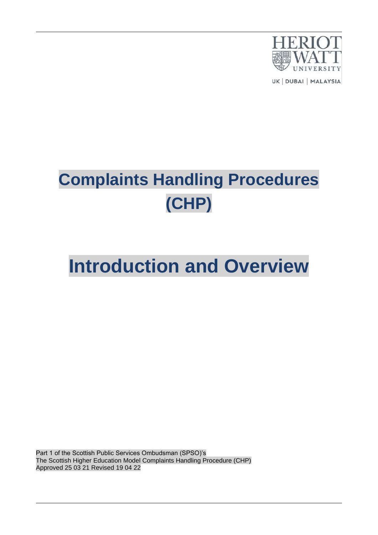

UK | DUBAI | MALAYSIA

# **Complaints Handling Procedures (CHP)**

# **Introduction and Overview**

Part 1 of the Scottish Public Services Ombudsman (SPSO)'s The Scottish Higher Education Model Complaints Handling Procedure (CHP) Approved 25 03 21 Revised 19 04 22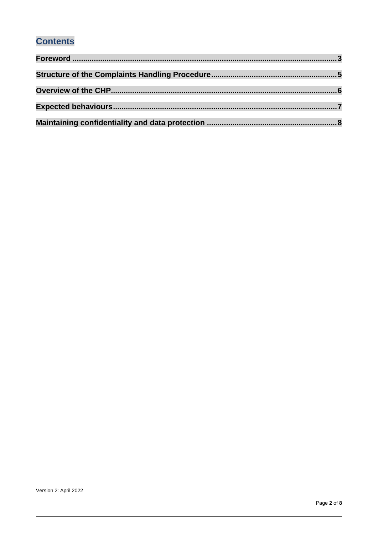### **Contents**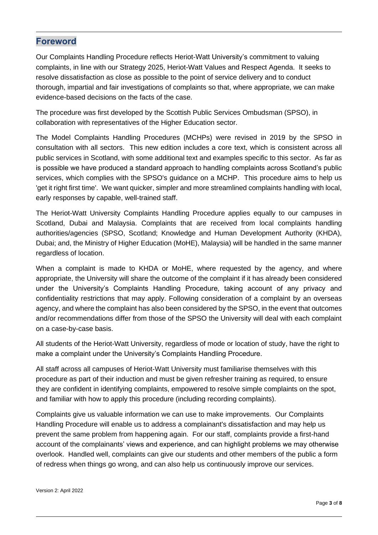#### <span id="page-2-0"></span>**Foreword**

Our Complaints Handling Procedure reflects Heriot-Watt University's commitment to valuing complaints, in line with our Strategy 2025, Heriot-Watt Values and Respect Agenda. It seeks to resolve dissatisfaction as close as possible to the point of service delivery and to conduct thorough, impartial and fair investigations of complaints so that, where appropriate, we can make evidence-based decisions on the facts of the case.

The procedure was first developed by the Scottish Public Services Ombudsman (SPSO), in collaboration with representatives of the Higher Education sector.

The Model Complaints Handling Procedures (MCHPs) were revised in 2019 by the SPSO in consultation with all sectors. This new edition includes a core text, which is consistent across all public services in Scotland, with some additional text and examples specific to this sector. As far as is possible we have produced a standard approach to handling complaints across Scotland's public services, which complies with the SPSO's guidance on a MCHP. This procedure aims to help us 'get it right first time'. We want quicker, simpler and more streamlined complaints handling with local, early responses by capable, well-trained staff.

The Heriot-Watt University Complaints Handling Procedure applies equally to our campuses in Scotland, Dubai and Malaysia. Complaints that are received from local complaints handling authorities/agencies (SPSO, Scotland; Knowledge and Human Development Authority (KHDA), Dubai; and, the Ministry of Higher Education (MoHE), Malaysia) will be handled in the same manner regardless of location.

When a complaint is made to KHDA or MoHE, where requested by the agency, and where appropriate, the University will share the outcome of the complaint if it has already been considered under the University's Complaints Handling Procedure, taking account of any privacy and confidentiality restrictions that may apply. Following consideration of a complaint by an overseas agency, and where the complaint has also been considered by the SPSO, in the event that outcomes and/or recommendations differ from those of the SPSO the University will deal with each complaint on a case-by-case basis.

All students of the Heriot-Watt University, regardless of mode or location of study, have the right to make a complaint under the University's Complaints Handling Procedure.

All staff across all campuses of Heriot-Watt University must familiarise themselves with this procedure as part of their induction and must be given refresher training as required, to ensure they are confident in identifying complaints, empowered to resolve simple complaints on the spot, and familiar with how to apply this procedure (including recording complaints).

Complaints give us valuable information we can use to make improvements. Our Complaints Handling Procedure will enable us to address a complainant's dissatisfaction and may help us prevent the same problem from happening again. For our staff, complaints provide a first-hand account of the complainants' views and experience, and can highlight problems we may otherwise overlook. Handled well, complaints can give our students and other members of the public a form of redress when things go wrong, and can also help us continuously improve our services.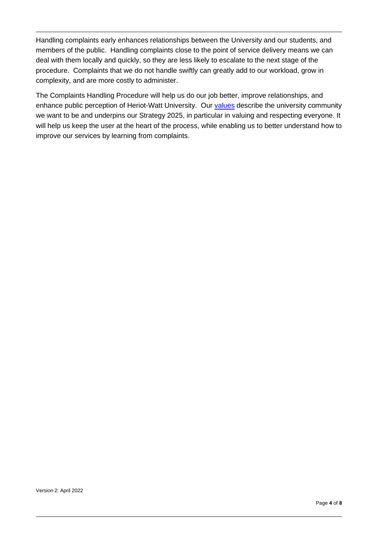Handling complaints early enhances relationships between the University and our students, and members of the public. Handling complaints close to the point of service delivery means we can deal with them locally and quickly, so they are less likely to escalate to the next stage of the procedure. Complaints that we do not handle swiftly can greatly add to our workload, grow in complexity, and are more costly to administer.

The Complaints Handling Procedure will help us do our job better, improve relationships, and enhance public perception of Heriot-Watt University. Our [values](https://heriotwatt.sharepoint.com/sites/LivingOurHWUValues/SitePages/Our-Values.aspx) describe the university community we want to be and underpins our Strategy 2025, in particular in valuing and respecting everyone. It will help us keep the user at the heart of the process, while enabling us to better understand how to improve our services by learning from complaints.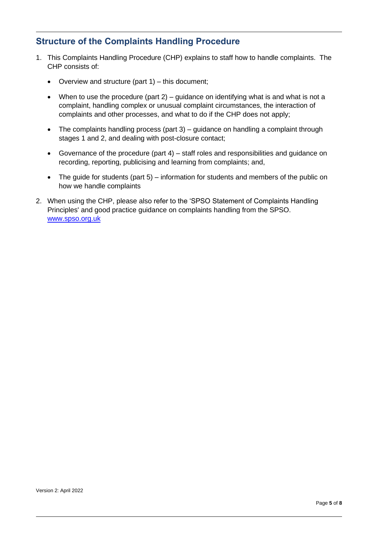### <span id="page-4-0"></span>**Structure of the Complaints Handling Procedure**

- 1. This Complaints Handling Procedure (CHP) explains to staff how to handle complaints. The CHP consists of:
	- Overview and structure (part 1) this document;
	- When to use the procedure (part  $2$ ) guidance on identifying what is and what is not a complaint, handling complex or unusual complaint circumstances, the interaction of complaints and other processes, and what to do if the CHP does not apply;
	- The complaints handling process (part 3) quidance on handling a complaint through stages 1 and 2, and dealing with post-closure contact;
	- Governance of the procedure (part 4) staff roles and responsibilities and guidance on recording, reporting, publicising and learning from complaints; and,
	- The guide for students (part 5) information for students and members of the public on how we handle complaints
- 2. When using the CHP, please also refer to the 'SPSO Statement of Complaints Handling Principles' and good practice guidance on complaints handling from the SPSO. [www.spso.org.uk](http://www.spso.org.uk/)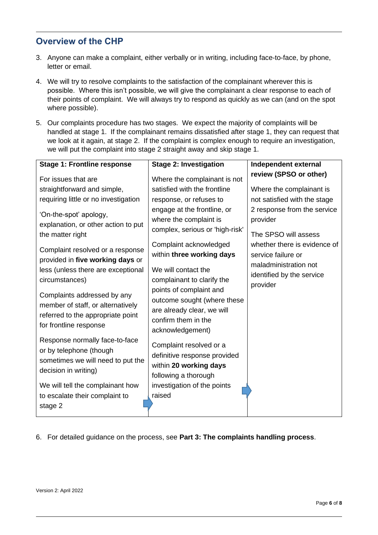### <span id="page-5-0"></span>**Overview of the CHP**

- 3. Anyone can make a complaint, either verbally or in writing, including face-to-face, by phone, letter or email.
- 4. We will try to resolve complaints to the satisfaction of the complainant wherever this is possible. Where this isn't possible, we will give the complainant a clear response to each of their points of complaint. We will always try to respond as quickly as we can (and on the spot where possible).
- 5. Our complaints procedure has two stages. We expect the majority of complaints will be handled at stage 1. If the complainant remains dissatisfied after stage 1, they can request that we look at it again, at stage 2. If the complaint is complex enough to require an investigation, we will put the complaint into stage 2 straight away and skip stage 1.

| <b>Stage 1: Frontline response</b>                                                                                              | <b>Stage 2: Investigation</b>                                                                                                   | Independent external                                                                                     |
|---------------------------------------------------------------------------------------------------------------------------------|---------------------------------------------------------------------------------------------------------------------------------|----------------------------------------------------------------------------------------------------------|
| For issues that are                                                                                                             | Where the complainant is not                                                                                                    | review (SPSO or other)                                                                                   |
| straightforward and simple,                                                                                                     | satisfied with the frontline                                                                                                    | Where the complainant is                                                                                 |
| requiring little or no investigation                                                                                            | response, or refuses to                                                                                                         | not satisfied with the stage                                                                             |
| 'On-the-spot' apology,<br>explanation, or other action to put<br>the matter right                                               | engage at the frontline, or<br>where the complaint is<br>complex, serious or 'high-risk'                                        | 2 response from the service<br>provider<br>The SPSO will assess                                          |
| Complaint resolved or a response<br>provided in five working days or<br>less (unless there are exceptional<br>circumstances)    | Complaint acknowledged<br>within three working days<br>We will contact the<br>complainant to clarify the                        | whether there is evidence of<br>service failure or<br>maladministration not<br>identified by the service |
| Complaints addressed by any<br>member of staff, or alternatively<br>referred to the appropriate point<br>for frontline response | points of complaint and<br>outcome sought (where these<br>are already clear, we will<br>confirm them in the<br>acknowledgement) | provider                                                                                                 |
| Response normally face-to-face<br>or by telephone (though<br>sometimes we will need to put the<br>decision in writing)          | Complaint resolved or a<br>definitive response provided<br>within 20 working days<br>following a thorough                       |                                                                                                          |
| We will tell the complainant how                                                                                                | investigation of the points                                                                                                     |                                                                                                          |
| to escalate their complaint to                                                                                                  | raised                                                                                                                          |                                                                                                          |
| stage 2                                                                                                                         |                                                                                                                                 |                                                                                                          |

6. For detailed guidance on the process, see **Part 3: The complaints handling process**.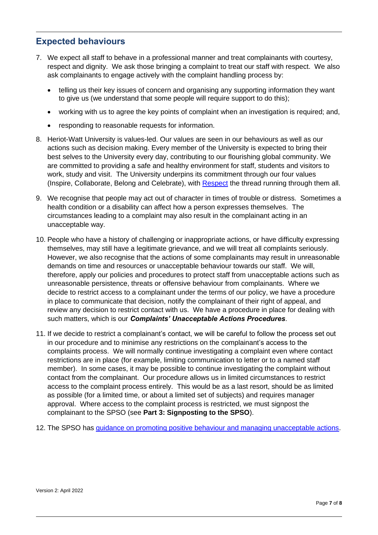#### <span id="page-6-0"></span>**Expected behaviours**

- 7. We expect all staff to behave in a professional manner and treat complainants with courtesy, respect and dignity. We ask those bringing a complaint to treat our staff with respect. We also ask complainants to engage actively with the complaint handling process by:
	- telling us their key issues of concern and organising any supporting information they want to give us (we understand that some people will require support to do this);
	- working with us to agree the key points of complaint when an investigation is required; and,
	- responding to reasonable requests for information.
- 8. Heriot-Watt University is values-led. Our values are seen in our behaviours as well as our actions such as decision making. Every member of the University is expected to bring their best selves to the University every day, contributing to our flourishing global community. We are committed to providing a safe and healthy environment for staff, students and visitors to work, study and visit. The University underpins its commitment through our four values (Inspire, Collaborate, Belong and Celebrate), with [Respect](https://heriotwatt.sharepoint.com/sites/LivingOurHWUValues/SitePages/RESPECT.aspx) the thread running through them all.
- 9. We recognise that people may act out of character in times of trouble or distress. Sometimes a health condition or a disability can affect how a person expresses themselves. The circumstances leading to a complaint may also result in the complainant acting in an unacceptable way.
- 10. People who have a history of challenging or inappropriate actions, or have difficulty expressing themselves, may still have a legitimate grievance, and we will treat all complaints seriously. However, we also recognise that the actions of some complainants may result in unreasonable demands on time and resources or unacceptable behaviour towards our staff. We will, therefore, apply our policies and procedures to protect staff from unacceptable actions such as unreasonable persistence, threats or offensive behaviour from complainants. Where we decide to restrict access to a complainant under the terms of our policy, we have a procedure in place to communicate that decision, notify the complainant of their right of appeal, and review any decision to restrict contact with us. We have a procedure in place for dealing with such matters, which is our *Complaints' Unacceptable Actions Procedures*.
- 11. If we decide to restrict a complainant's contact, we will be careful to follow the process set out in our procedure and to minimise any restrictions on the complainant's access to the complaints process. We will normally continue investigating a complaint even where contact restrictions are in place (for example, limiting communication to letter or to a named staff member). In some cases, it may be possible to continue investigating the complaint without contact from the complainant. Our procedure allows us in limited circumstances to restrict access to the complaint process entirely. This would be as a last resort, should be as limited as possible (for a limited time, or about a limited set of subjects) and requires manager approval. Where access to the complaint process is restricted, we must signpost the complainant to the SPSO (see **Part 3: Signposting to the SPSO**).
- 12. The SPSO has [guidance on promoting positive behaviour and managing unacceptable actions.](https://www.spso.org.uk/how-we-offer-support-and-guidance)